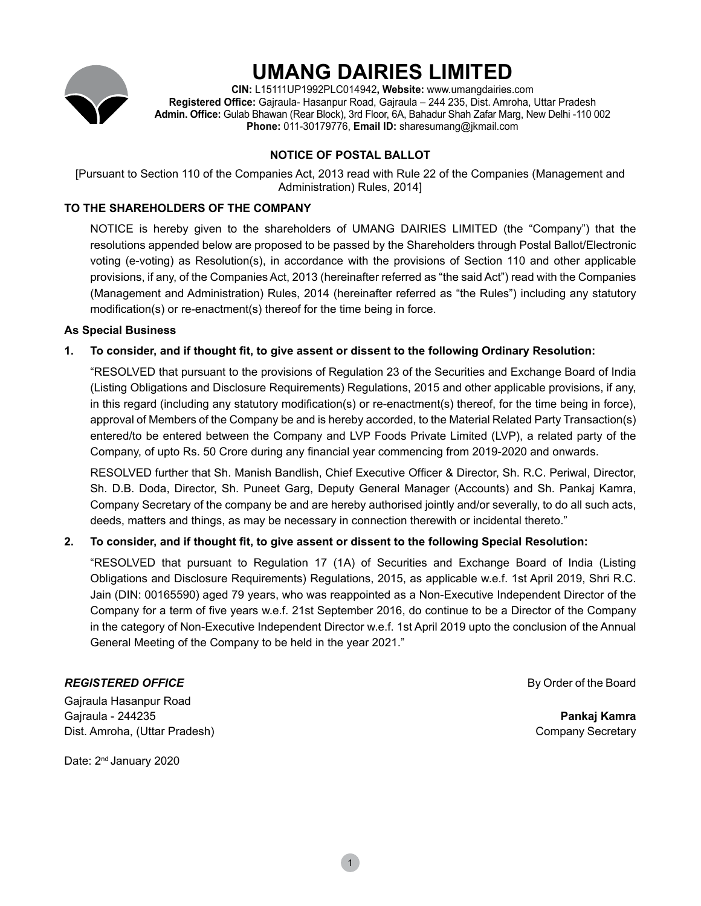

# **UMANG DAIRIES LIMITED**

**CIN:** L15111UP1992PLC014942**, Website:** www.umangdairies.com **Registered Office:** Gajraula- Hasanpur Road, Gajraula – 244 235, Dist. Amroha, Uttar Pradesh **Admin. Office:** Gulab Bhawan (Rear Block), 3rd Floor, 6A, Bahadur Shah Zafar Marg, New Delhi -110 002 **Phone:** 011-30179776, **Email ID:** sharesumang@jkmail.com

## **NOTICE OF POSTAL BALLOT**

[Pursuant to Section 110 of the Companies Act, 2013 read with Rule 22 of the Companies (Management and Administration) Rules, 2014]

## **TO THE SHAREHOLDERS OF THE COMPANY**

NOTICE is hereby given to the shareholders of UMANG DAIRIES LIMITED (the "Company") that the resolutions appended below are proposed to be passed by the Shareholders through Postal Ballot/Electronic voting (e-voting) as Resolution(s), in accordance with the provisions of Section 110 and other applicable provisions, if any, of the Companies Act, 2013 (hereinafter referred as "the said Act") read with the Companies (Management and Administration) Rules, 2014 (hereinafter referred as "the Rules") including any statutory modification(s) or re-enactment(s) thereof for the time being in force.

## **As Special Business**

## **1. To consider, and if thought fit, to give assent or dissent to the following Ordinary Resolution:**

"RESOLVED that pursuant to the provisions of Regulation 23 of the Securities and Exchange Board of India (Listing Obligations and Disclosure Requirements) Regulations, 2015 and other applicable provisions, if any, in this regard (including any statutory modification(s) or re-enactment(s) thereof, for the time being in force), approval of Members of the Company be and is hereby accorded, to the Material Related Party Transaction(s) entered/to be entered between the Company and LVP Foods Private Limited (LVP), a related party of the Company, of upto Rs. 50 Crore during any financial year commencing from 2019-2020 and onwards.

RESOLVED further that Sh. Manish Bandlish, Chief Executive Officer & Director, Sh. R.C. Periwal, Director, Sh. D.B. Doda, Director, Sh. Puneet Garg, Deputy General Manager (Accounts) and Sh. Pankaj Kamra, Company Secretary of the company be and are hereby authorised jointly and/or severally, to do all such acts, deeds, matters and things, as may be necessary in connection therewith or incidental thereto."

## **2. To consider, and if thought fit, to give assent or dissent to the following Special Resolution:**

"RESOLVED that pursuant to Regulation 17 (1A) of Securities and Exchange Board of India (Listing Obligations and Disclosure Requirements) Regulations, 2015, as applicable w.e.f. 1st April 2019, Shri R.C. Jain (DIN: 00165590) aged 79 years, who was reappointed as a Non-Executive Independent Director of the Company for a term of five years w.e.f. 21st September 2016, do continue to be a Director of the Company in the category of Non-Executive Independent Director w.e.f. 1st April 2019 upto the conclusion of the Annual General Meeting of the Company to be held in the year 2021."

## **REGISTERED OFFICE By Order of the Board**

Gajraula Hasanpur Road Gajraula - 244235 **Pankaj Kamra** Dist. Amroha, (Uttar Pradesh) Company Secretary

Date: 2<sup>nd</sup> January 2020

1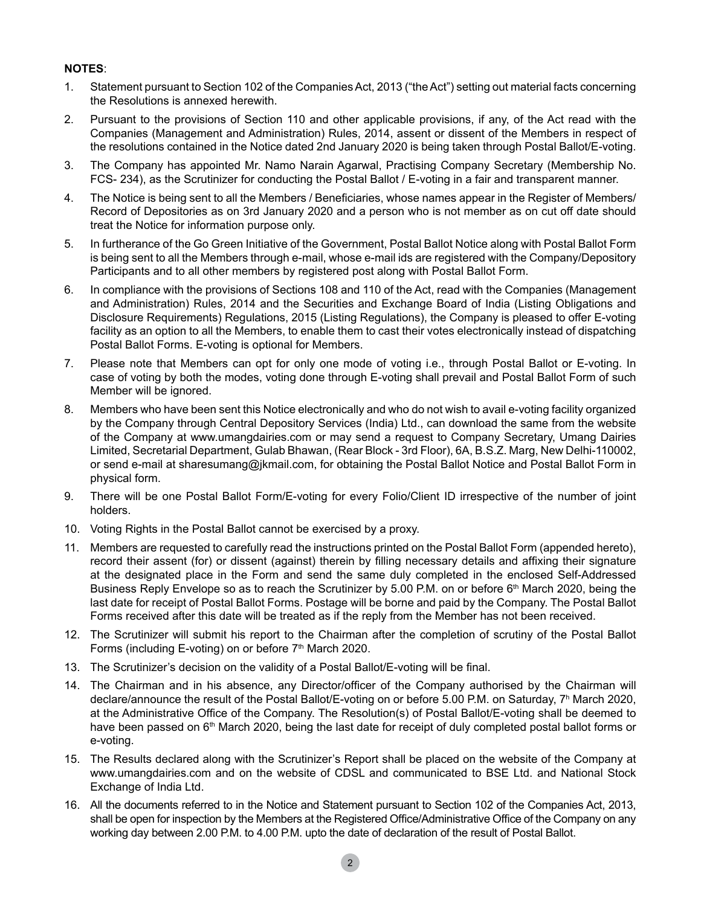## **Notes**:

- 1. Statement pursuant to Section 102 of the Companies Act, 2013 ("the Act") setting out material facts concerning the Resolutions is annexed herewith.
- 2. Pursuant to the provisions of Section 110 and other applicable provisions, if any, of the Act read with the Companies (Management and Administration) Rules, 2014, assent or dissent of the Members in respect of the resolutions contained in the Notice dated 2nd January 2020 is being taken through Postal Ballot/E-voting.
- 3. The Company has appointed Mr. Namo Narain Agarwal, Practising Company Secretary (Membership No. FCS- 234), as the Scrutinizer for conducting the Postal Ballot / E-voting in a fair and transparent manner.
- 4. The Notice is being sent to all the Members / Beneficiaries, whose names appear in the Register of Members/ Record of Depositories as on 3rd January 2020 and a person who is not member as on cut off date should treat the Notice for information purpose only.
- 5. In furtherance of the Go Green Initiative of the Government, Postal Ballot Notice along with Postal Ballot Form is being sent to all the Members through e-mail, whose e-mail ids are registered with the Company/Depository Participants and to all other members by registered post along with Postal Ballot Form.
- 6. In compliance with the provisions of Sections 108 and 110 of the Act, read with the Companies (Management and Administration) Rules, 2014 and the Securities and Exchange Board of India (Listing Obligations and Disclosure Requirements) Regulations, 2015 (Listing Regulations), the Company is pleased to offer E-voting facility as an option to all the Members, to enable them to cast their votes electronically instead of dispatching Postal Ballot Forms. E-voting is optional for Members.
- 7. Please note that Members can opt for only one mode of voting i.e., through Postal Ballot or E-voting. In case of voting by both the modes, voting done through E-voting shall prevail and Postal Ballot Form of such Member will be ignored.
- 8. Members who have been sent this Notice electronically and who do not wish to avail e-voting facility organized by the Company through Central Depository Services (India) Ltd., can download the same from the website of the Company at www.umangdairies.com or may send a request to Company Secretary, Umang Dairies Limited, Secretarial Department, Gulab Bhawan, (Rear Block - 3rd Floor), 6A, B.S.Z. Marg, New Delhi-110002, or send e-mail at sharesumang@jkmail.com, for obtaining the Postal Ballot Notice and Postal Ballot Form in physical form.
- 9. There will be one Postal Ballot Form/E-voting for every Folio/Client ID irrespective of the number of joint holders.
- 10. Voting Rights in the Postal Ballot cannot be exercised by a proxy.
- 11. Members are requested to carefully read the instructions printed on the Postal Ballot Form (appended hereto), record their assent (for) or dissent (against) therein by filling necessary details and affixing their signature at the designated place in the Form and send the same duly completed in the enclosed Self-Addressed Business Reply Envelope so as to reach the Scrutinizer by 5.00 P.M. on or before 6<sup>th</sup> March 2020, being the last date for receipt of Postal Ballot Forms. Postage will be borne and paid by the Company. The Postal Ballot Forms received after this date will be treated as if the reply from the Member has not been received.
- 12. The Scrutinizer will submit his report to the Chairman after the completion of scrutiny of the Postal Ballot Forms (including E-voting) on or before  $7<sup>th</sup>$  March 2020.
- 13. The Scrutinizer's decision on the validity of a Postal Ballot/E-voting will be final.
- 14. The Chairman and in his absence, any Director/officer of the Company authorised by the Chairman will declare/announce the result of the Postal Ballot/E-voting on or before 5.00 P.M. on Saturday, 7<sup>h</sup> March 2020, at the Administrative Office of the Company. The Resolution(s) of Postal Ballot/E-voting shall be deemed to have been passed on 6<sup>th</sup> March 2020, being the last date for receipt of duly completed postal ballot forms or e-voting.
- 15. The Results declared along with the Scrutinizer's Report shall be placed on the website of the Company at www.umangdairies.com and on the website of CDSL and communicated to BSE Ltd. and National Stock Exchange of India Ltd.
- 16. All the documents referred to in the Notice and Statement pursuant to Section 102 of the Companies Act, 2013, shall be open for inspection by the Members at the Registered Office/Administrative Office of the Company on any working day between 2.00 P.M. to 4.00 P.M. upto the date of declaration of the result of Postal Ballot.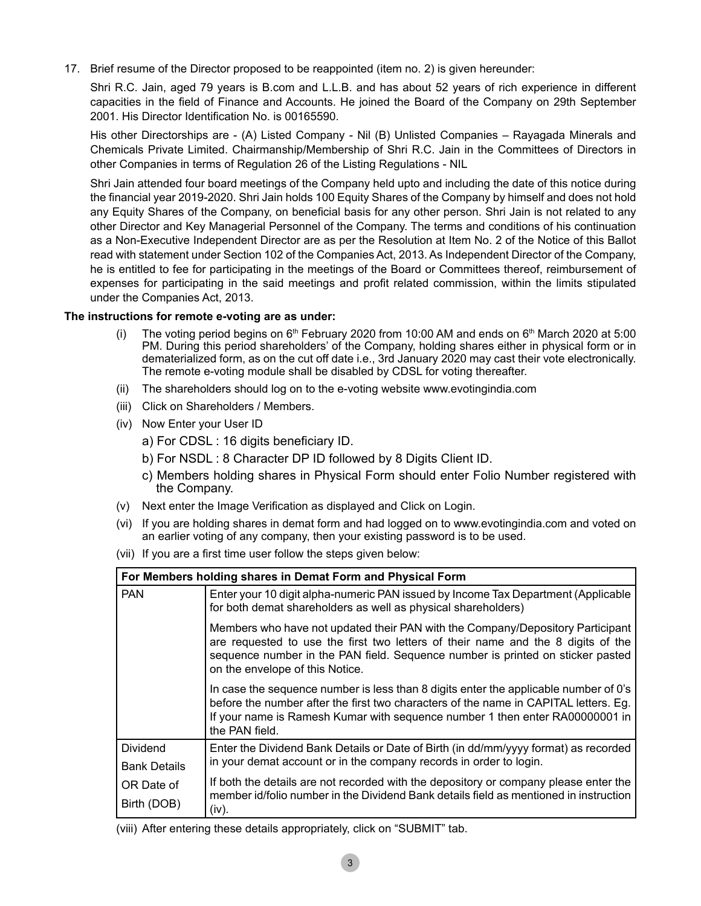17. Brief resume of the Director proposed to be reappointed (item no. 2) is given hereunder:

Shri R.C. Jain, aged 79 years is B.com and L.L.B. and has about 52 years of rich experience in different capacities in the field of Finance and Accounts. He joined the Board of the Company on 29th September 2001. His Director Identification No. is 00165590.

His other Directorships are - (A) Listed Company - Nil (B) Unlisted Companies – Rayagada Minerals and Chemicals Private Limited. Chairmanship/Membership of Shri R.C. Jain in the Committees of Directors in other Companies in terms of Regulation 26 of the Listing Regulations - NIL

Shri Jain attended four board meetings of the Company held upto and including the date of this notice during the financial year 2019-2020. Shri Jain holds 100 Equity Shares of the Company by himself and does not hold any Equity Shares of the Company, on beneficial basis for any other person. Shri Jain is not related to any other Director and Key Managerial Personnel of the Company. The terms and conditions of his continuation as a Non-Executive Independent Director are as per the Resolution at Item No. 2 of the Notice of this Ballot read with statement under Section 102 of the Companies Act, 2013. As Independent Director of the Company, he is entitled to fee for participating in the meetings of the Board or Committees thereof, reimbursement of expenses for participating in the said meetings and profit related commission, within the limits stipulated under the Companies Act, 2013.

#### **The instructions for remote e-voting are as under:**

- (i) The voting period begins on  $6<sup>th</sup>$  February 2020 from 10:00 AM and ends on  $6<sup>th</sup>$  March 2020 at 5:00 PM. During this period shareholders' of the Company, holding shares either in physical form or in dematerialized form, as on the cut off date i.e., 3rd January 2020 may cast their vote electronically. The remote e-voting module shall be disabled by CDSL for voting thereafter.
- (ii) The shareholders should log on to the e-voting website www.evotingindia.com
- (iii) Click on Shareholders / Members.
- (iv) Now Enter your User ID
	- a) For CDSL : 16 digits beneficiary ID.
	- b) For NSDL : 8 Character DP ID followed by 8 Digits Client ID.
	- c) Members holding shares in Physical Form should enter Folio Number registered with the Company.
- (v) Next enter the Image Verification as displayed and Click on Login.
- (vi) If you are holding shares in demat form and had logged on to www.evotingindia.com and voted on an earlier voting of any company, then your existing password is to be used.
- (vii) If you are a first time user follow the steps given below:

| For Members holding shares in Demat Form and Physical Form |                                                                                                                                                                                                                                                                                         |  |  |  |
|------------------------------------------------------------|-----------------------------------------------------------------------------------------------------------------------------------------------------------------------------------------------------------------------------------------------------------------------------------------|--|--|--|
| <b>PAN</b>                                                 | Enter your 10 digit alpha-numeric PAN issued by Income Tax Department (Applicable<br>for both demat shareholders as well as physical shareholders)                                                                                                                                      |  |  |  |
|                                                            | Members who have not updated their PAN with the Company/Depository Participant<br>are requested to use the first two letters of their name and the 8 digits of the<br>sequence number in the PAN field. Sequence number is printed on sticker pasted<br>on the envelope of this Notice. |  |  |  |
|                                                            | In case the sequence number is less than 8 digits enter the applicable number of 0's<br>before the number after the first two characters of the name in CAPITAL letters. Eg.<br>If your name is Ramesh Kumar with sequence number 1 then enter RA00000001 in<br>the PAN field.          |  |  |  |
| Dividend                                                   | Enter the Dividend Bank Details or Date of Birth (in dd/mm/yyyy format) as recorded<br>in your demat account or in the company records in order to login.                                                                                                                               |  |  |  |
| <b>Bank Details</b>                                        |                                                                                                                                                                                                                                                                                         |  |  |  |
| OR Date of                                                 | If both the details are not recorded with the depository or company please enter the<br>member id/folio number in the Dividend Bank details field as mentioned in instruction                                                                                                           |  |  |  |
| Birth (DOB)                                                | (iv).                                                                                                                                                                                                                                                                                   |  |  |  |

(viii) After entering these details appropriately, click on "SUBMIT" tab.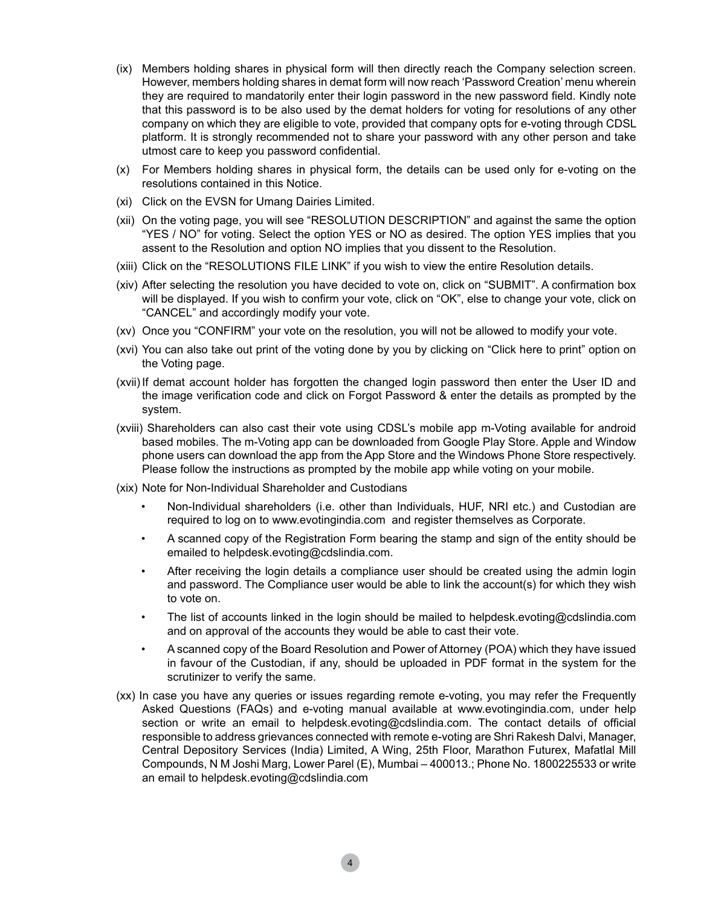- (ix) Members holding shares in physical form will then directly reach the Company selection screen. However, members holding shares in demat form will now reach 'Password Creation' menu wherein they are required to mandatorily enter their login password in the new password field. Kindly note that this password is to be also used by the demat holders for voting for resolutions of any other company on which they are eligible to vote, provided that company opts for e-voting through CDSL platform. It is strongly recommended not to share your password with any other person and take utmost care to keep you password confidential.
- (x) For Members holding shares in physical form, the details can be used only for e-voting on the resolutions contained in this Notice.
- (xi) Click on the EVSN for Umang Dairies Limited.
- (xii) On the voting page, you will see "RESOLUTION DESCRIPTION" and against the same the option "YES / NO" for voting. Select the option YES or NO as desired. The option YES implies that you assent to the Resolution and option NO implies that you dissent to the Resolution.
- (xiii) Click on the "RESOLUTIONS FILE LINK" if you wish to view the entire Resolution details.
- (xiv) After selecting the resolution you have decided to vote on, click on "SUBMIT". A confirmation box will be displayed. If you wish to confirm your vote, click on "OK", else to change your vote, click on "CANCEL" and accordingly modify your vote.
- (xv) Once you "CONFIRM" your vote on the resolution, you will not be allowed to modify your vote.
- (xvi) You can also take out print of the voting done by you by clicking on "Click here to print" option on the Voting page.
- (xvii) If demat account holder has forgotten the changed login password then enter the User ID and the image verification code and click on Forgot Password & enter the details as prompted by the system.
- (xviii) Shareholders can also cast their vote using CDSL's mobile app m-Voting available for android based mobiles. The m-Voting app can be downloaded from Google Play Store. Apple and Window phone users can download the app from the App Store and the Windows Phone Store respectively. Please follow the instructions as prompted by the mobile app while voting on your mobile.
- (xix) Note for Non-Individual Shareholder and Custodians
	- Non-Individual shareholders (i.e. other than Individuals, HUF, NRI etc.) and Custodian are required to log on to www.evotingindia.com and register themselves as Corporate.
	- A scanned copy of the Registration Form bearing the stamp and sign of the entity should be emailed to helpdesk.evoting@cdslindia.com.
	- After receiving the login details a compliance user should be created using the admin login and password. The Compliance user would be able to link the account(s) for which they wish to vote on.
	- The list of accounts linked in the login should be mailed to helpdesk.evoting@cdslindia.com and on approval of the accounts they would be able to cast their vote.
	- A scanned copy of the Board Resolution and Power of Attorney (POA) which they have issued in favour of the Custodian, if any, should be uploaded in PDF format in the system for the scrutinizer to verify the same.
- (xx) In case you have any queries or issues regarding remote e-voting, you may refer the Frequently Asked Questions (FAQs) and e-voting manual available at www.evotingindia.com, under help section or write an email to helpdesk.evoting@cdslindia.com. The contact details of official responsible to address grievances connected with remote e-voting are Shri Rakesh Dalvi, Manager, Central Depository Services (India) Limited, A Wing, 25th Floor, Marathon Futurex, Mafatlal Mill Compounds, N M Joshi Marg, Lower Parel (E), Mumbai – 400013.; Phone No. 1800225533 or write an email to helpdesk.evoting@cdslindia.com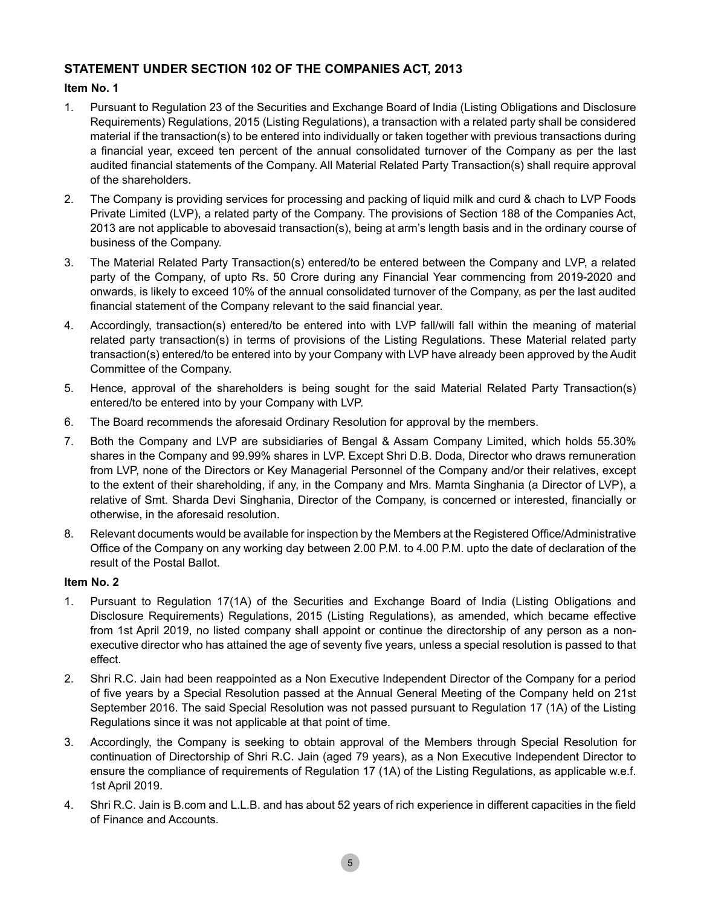## **STATEMENT UNDER SECTION 102 OF THE COMPANIES ACT, 2013**

## **Item No. 1**

- 1. Pursuant to Regulation 23 of the Securities and Exchange Board of India (Listing Obligations and Disclosure Requirements) Regulations, 2015 (Listing Regulations), a transaction with a related party shall be considered material if the transaction(s) to be entered into individually or taken together with previous transactions during a financial year, exceed ten percent of the annual consolidated turnover of the Company as per the last audited financial statements of the Company. All Material Related Party Transaction(s) shall require approval of the shareholders.
- 2. The Company is providing services for processing and packing of liquid milk and curd & chach to LVP Foods Private Limited (LVP), a related party of the Company. The provisions of Section 188 of the Companies Act, 2013 are not applicable to abovesaid transaction(s), being at arm's length basis and in the ordinary course of business of the Company.
- 3. The Material Related Party Transaction(s) entered/to be entered between the Company and LVP, a related party of the Company, of upto Rs. 50 Crore during any Financial Year commencing from 2019-2020 and onwards, is likely to exceed 10% of the annual consolidated turnover of the Company, as per the last audited financial statement of the Company relevant to the said financial year.
- 4. Accordingly, transaction(s) entered/to be entered into with LVP fall/will fall within the meaning of material related party transaction(s) in terms of provisions of the Listing Regulations. These Material related party transaction(s) entered/to be entered into by your Company with LVP have already been approved by the Audit Committee of the Company.
- 5. Hence, approval of the shareholders is being sought for the said Material Related Party Transaction(s) entered/to be entered into by your Company with LVP.
- 6. The Board recommends the aforesaid Ordinary Resolution for approval by the members.
- 7. Both the Company and LVP are subsidiaries of Bengal & Assam Company Limited, which holds 55.30% shares in the Company and 99.99% shares in LVP. Except Shri D.B. Doda, Director who draws remuneration from LVP, none of the Directors or Key Managerial Personnel of the Company and/or their relatives, except to the extent of their shareholding, if any, in the Company and Mrs. Mamta Singhania (a Director of LVP), a relative of Smt. Sharda Devi Singhania, Director of the Company, is concerned or interested, financially or otherwise, in the aforesaid resolution.
- 8. Relevant documents would be available for inspection by the Members at the Registered Office/Administrative Office of the Company on any working day between 2.00 P.M. to 4.00 P.M. upto the date of declaration of the result of the Postal Ballot.

## **Item No. 2**

- 1. Pursuant to Regulation 17(1A) of the Securities and Exchange Board of India (Listing Obligations and Disclosure Requirements) Regulations, 2015 (Listing Regulations), as amended, which became effective from 1st April 2019, no listed company shall appoint or continue the directorship of any person as a nonexecutive director who has attained the age of seventy five years, unless a special resolution is passed to that effect.
- 2. Shri R.C. Jain had been reappointed as a Non Executive Independent Director of the Company for a period of five years by a Special Resolution passed at the Annual General Meeting of the Company held on 21st September 2016. The said Special Resolution was not passed pursuant to Regulation 17 (1A) of the Listing Regulations since it was not applicable at that point of time.
- 3. Accordingly, the Company is seeking to obtain approval of the Members through Special Resolution for continuation of Directorship of Shri R.C. Jain (aged 79 years), as a Non Executive Independent Director to ensure the compliance of requirements of Regulation 17 (1A) of the Listing Regulations, as applicable w.e.f. 1st April 2019.
- 4. Shri R.C. Jain is B.com and L.L.B. and has about 52 years of rich experience in different capacities in the field of Finance and Accounts.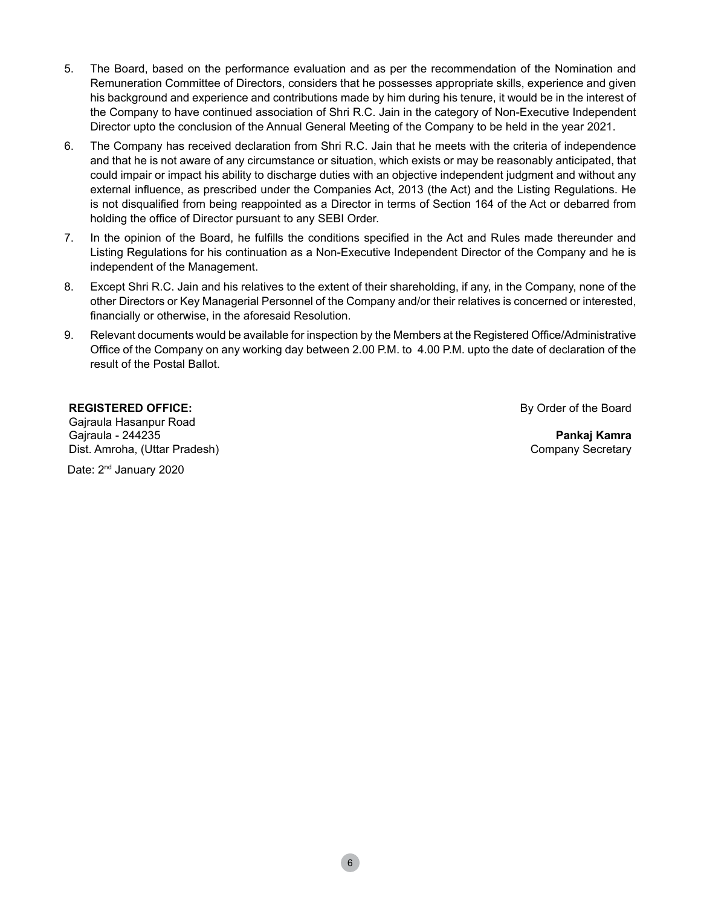- 5. The Board, based on the performance evaluation and as per the recommendation of the Nomination and Remuneration Committee of Directors, considers that he possesses appropriate skills, experience and given his background and experience and contributions made by him during his tenure, it would be in the interest of the Company to have continued association of Shri R.C. Jain in the category of Non-Executive Independent Director upto the conclusion of the Annual General Meeting of the Company to be held in the year 2021.
- 6. The Company has received declaration from Shri R.C. Jain that he meets with the criteria of independence and that he is not aware of any circumstance or situation, which exists or may be reasonably anticipated, that could impair or impact his ability to discharge duties with an objective independent judgment and without any external influence, as prescribed under the Companies Act, 2013 (the Act) and the Listing Regulations. He is not disqualified from being reappointed as a Director in terms of Section 164 of the Act or debarred from holding the office of Director pursuant to any SEBI Order.
- 7. In the opinion of the Board, he fulfills the conditions specified in the Act and Rules made thereunder and Listing Regulations for his continuation as a Non-Executive Independent Director of the Company and he is independent of the Management.
- 8. Except Shri R.C. Jain and his relatives to the extent of their shareholding, if any, in the Company, none of the other Directors or Key Managerial Personnel of the Company and/or their relatives is concerned or interested, financially or otherwise, in the aforesaid Resolution.
- 9. Relevant documents would be available for inspection by the Members at the Registered Office/Administrative Office of the Company on any working day between 2.00 P.M. to 4.00 P.M. upto the date of declaration of the result of the Postal Ballot.

#### **REGISTERED OFFICE:**

Gajraula Hasanpur Road Gajraula - 244235 Dist. Amroha, (Uttar Pradesh) By Order of the Board

**Pankaj Kamra** Company Secretary

Date: 2<sup>nd</sup> January 2020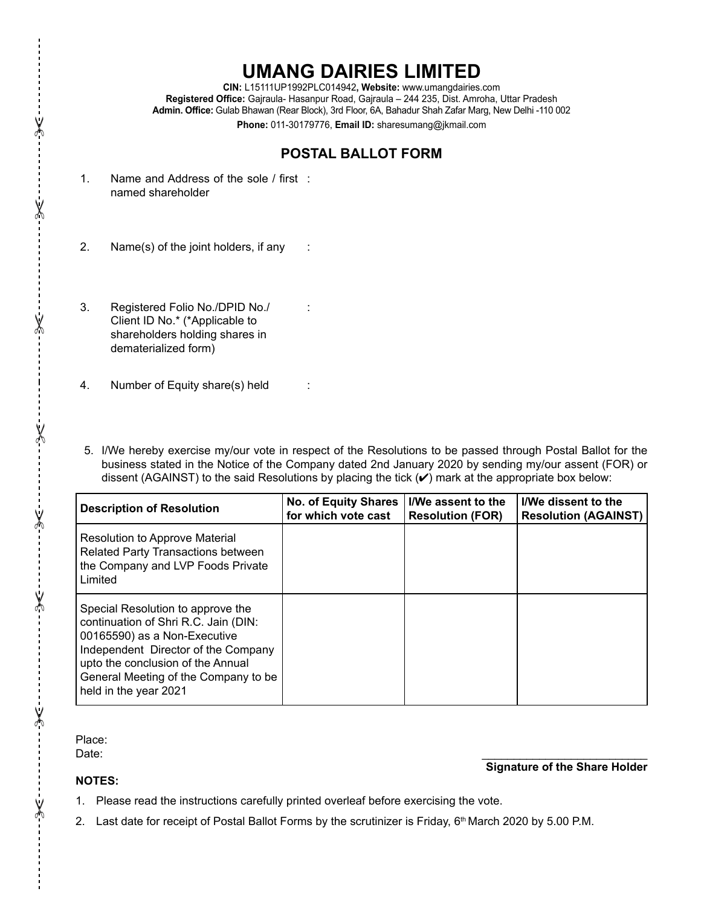## **UMANG DAIRIES LIMITED**

**CIN:** L15111UP1992PLC014942**, Website:** www.umangdairies.com **Registered Office:** Gajraula- Hasanpur Road, Gajraula – 244 235, Dist. Amroha, Uttar Pradesh **Admin. Office:** Gulab Bhawan (Rear Block), 3rd Floor, 6A, Bahadur Shah Zafar Marg, New Delhi -110 002 **Phone:** 011-30179776, **Email ID:** sharesumang@jkmail.com

## **POSTAL BALLOT FORM**

:

- 1. Name and Address of the sole / first : named shareholder
- 2. Name(s) of the joint holders, if any  $\therefore$
- 3. Registered Folio No./DPID No./ Client ID No.\* (\*Applicable to shareholders holding shares in dematerialized form)
- 4. Number of Equity share(s) held :
- 5. I/We hereby exercise my/our vote in respect of the Resolutions to be passed through Postal Ballot for the business stated in the Notice of the Company dated 2nd January 2020 by sending my/our assent (FOR) or dissent (AGAINST) to the said Resolutions by placing the tick  $(V)$  mark at the appropriate box below:

| <b>Description of Resolution</b>                                                                                                                                                                                                                       | No. of Equity Shares  <br>for which vote cast | I/We assent to the<br><b>Resolution (FOR)</b> | I/We dissent to the<br><b>Resolution (AGAINST)</b> |
|--------------------------------------------------------------------------------------------------------------------------------------------------------------------------------------------------------------------------------------------------------|-----------------------------------------------|-----------------------------------------------|----------------------------------------------------|
| <b>Resolution to Approve Material</b><br>Related Party Transactions between<br>the Company and LVP Foods Private<br>Limited                                                                                                                            |                                               |                                               |                                                    |
| Special Resolution to approve the<br>continuation of Shri R.C. Jain (DIN:<br>00165590) as a Non-Executive<br>Independent Director of the Company<br>upto the conclusion of the Annual<br>General Meeting of the Company to be<br>held in the year 2021 |                                               |                                               |                                                    |

Place:

**Notes:**

Date: \_\_\_\_\_\_\_\_\_\_\_\_\_\_\_\_\_\_\_\_\_\_\_\_\_\_

## **Signature of the Share Holder**

- 1. Please read the instructions carefully printed overleaf before exercising the vote.
- 2. Last date for receipt of Postal Ballot Forms by the scrutinizer is Friday,  $6<sup>th</sup>$  March 2020 by 5.00 P.M.